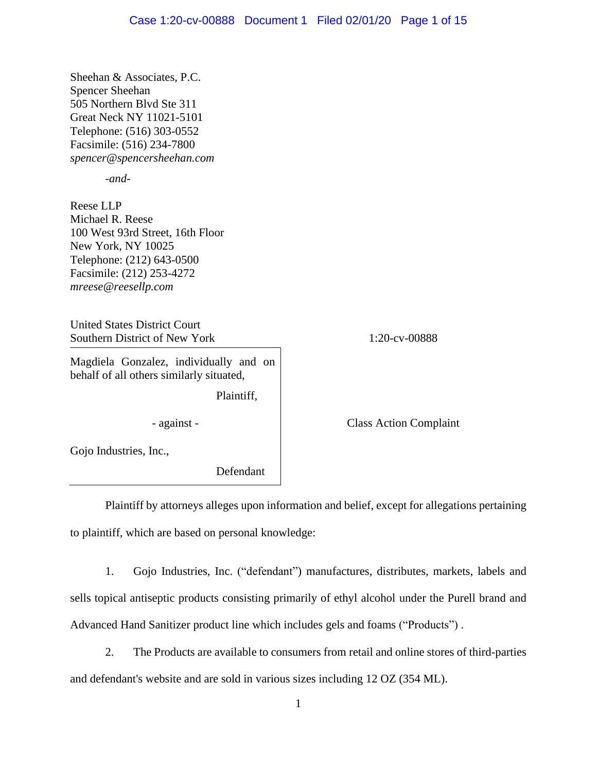Sheehan & Associates, P.C. Spencer Sheehan 505 Northern Blvd Ste 311 Great Neck NY 11021-5101 Telephone: (516) 303-0552 Facsimile: (516) 234-7800 *spencer@spencersheehan.com*

*-and-*

Reese LLP Michael R. Reese 100 West 93rd Street, 16th Floor New York, NY 10025 Telephone: (212) 643-0500 Facsimile: (212) 253-4272 *mreese@reesellp.com*

United States District Court Southern District of New York 1:20-cv-00888

Magdiela Gonzalez, individually and on behalf of all others similarly situated,

Plaintiff,

- against - Class Action Complaint

Gojo Industries, Inc.,

Defendant

Plaintiff by attorneys alleges upon information and belief, except for allegations pertaining to plaintiff, which are based on personal knowledge:

1. Gojo Industries, Inc. ("defendant") manufactures, distributes, markets, labels and sells topical antiseptic products consisting primarily of ethyl alcohol under the Purell brand and Advanced Hand Sanitizer product line which includes gels and foams ("Products") .

2. The Products are available to consumers from retail and online stores of third-parties and defendant's website and are sold in various sizes including 12 OZ (354 ML).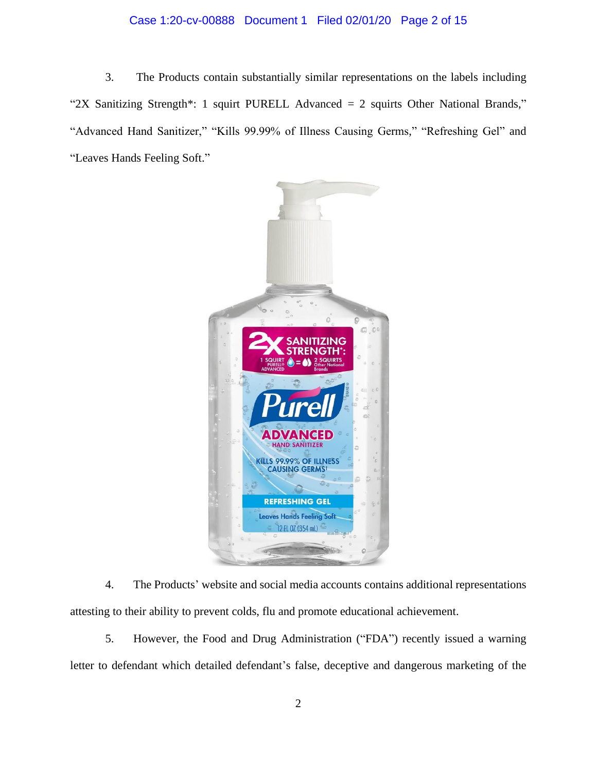# Case 1:20-cv-00888 Document 1 Filed 02/01/20 Page 2 of 15

3. The Products contain substantially similar representations on the labels including "2X Sanitizing Strength\*: 1 squirt PURELL Advanced = 2 squirts Other National Brands," "Advanced Hand Sanitizer," "Kills 99.99% of Illness Causing Germs," "Refreshing Gel" and "Leaves Hands Feeling Soft."



4. The Products' website and social media accounts contains additional representations attesting to their ability to prevent colds, flu and promote educational achievement.

5. However, the Food and Drug Administration ("FDA") recently issued a warning letter to defendant which detailed defendant's false, deceptive and dangerous marketing of the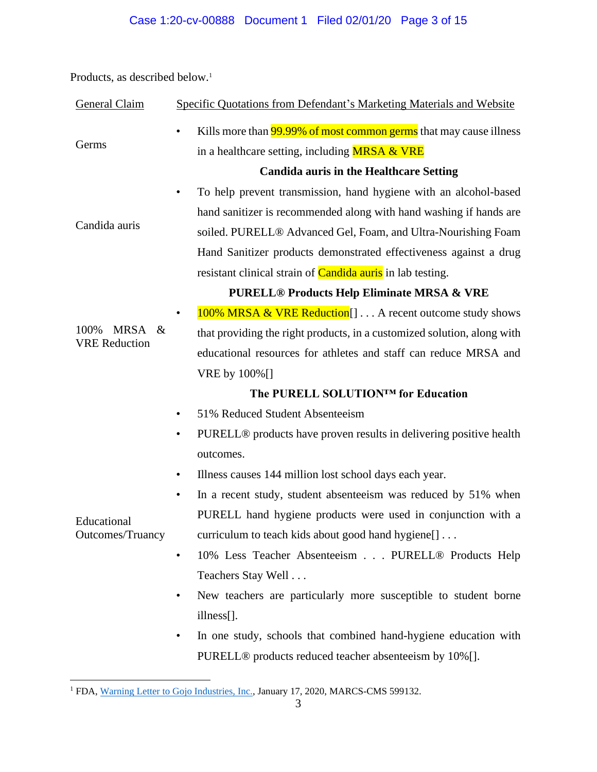Products, as described below.<sup>1</sup>

| General Claim                                       | Specific Quotations from Defendant's Marketing Materials and Website                        |
|-----------------------------------------------------|---------------------------------------------------------------------------------------------|
| Germs                                               | Kills more than 99.99% of most common germs that may cause illness<br>$\bullet$             |
|                                                     | in a healthcare setting, including MRSA & VRE                                               |
|                                                     | <b>Candida auris in the Healthcare Setting</b>                                              |
| Candida auris                                       | To help prevent transmission, hand hygiene with an alcohol-based<br>$\bullet$               |
|                                                     | hand sanitizer is recommended along with hand washing if hands are                          |
|                                                     | soiled. PURELL® Advanced Gel, Foam, and Ultra-Nourishing Foam                               |
|                                                     | Hand Sanitizer products demonstrated effectiveness against a drug                           |
|                                                     | resistant clinical strain of <b>Candida auris</b> in lab testing.                           |
|                                                     | <b>PURELL® Products Help Eliminate MRSA &amp; VRE</b>                                       |
| 100%<br><b>MRSA</b><br>$\&$<br><b>VRE</b> Reduction | 100% MRSA & VRE Reduction [] A recent outcome study shows<br>$\bullet$                      |
|                                                     | that providing the right products, in a customized solution, along with                     |
|                                                     | educational resources for athletes and staff can reduce MRSA and                            |
|                                                     | VRE by 100%[]                                                                               |
|                                                     | The PURELL SOLUTION™ for Education                                                          |
| Educational<br>Outcomes/Truancy                     | 51% Reduced Student Absenteeism<br>$\bullet$                                                |
|                                                     | PURELL <sup>®</sup> products have proven results in delivering positive health<br>$\bullet$ |
|                                                     | outcomes.                                                                                   |
|                                                     | Illness causes 144 million lost school days each year.<br>$\bullet$                         |
|                                                     | In a recent study, student absenteeism was reduced by 51% when<br>$\bullet$                 |
|                                                     | PURELL hand hygiene products were used in conjunction with a                                |
|                                                     | curriculum to teach kids about good hand hygiene.                                           |
|                                                     | 10% Less Teacher Absenteeism PURELL® Products Help<br>$\bullet$                             |
|                                                     | Teachers Stay Well                                                                          |
|                                                     | New teachers are particularly more susceptible to student borne<br>$\bullet$                |
|                                                     | illness[].                                                                                  |
|                                                     | In one study, schools that combined hand-hygiene education with                             |

PURELL® products reduced teacher absenteeism by 10%[].

<sup>&</sup>lt;sup>1</sup> FDA[, Warning Letter to Gojo Industries, Inc.,](https://www.fda.gov/inspections-compliance-enforcement-and-criminal-investigations/warning-letters/gojo-industries-inc-599132-01172020) January 17, 2020, MARCS-CMS 599132.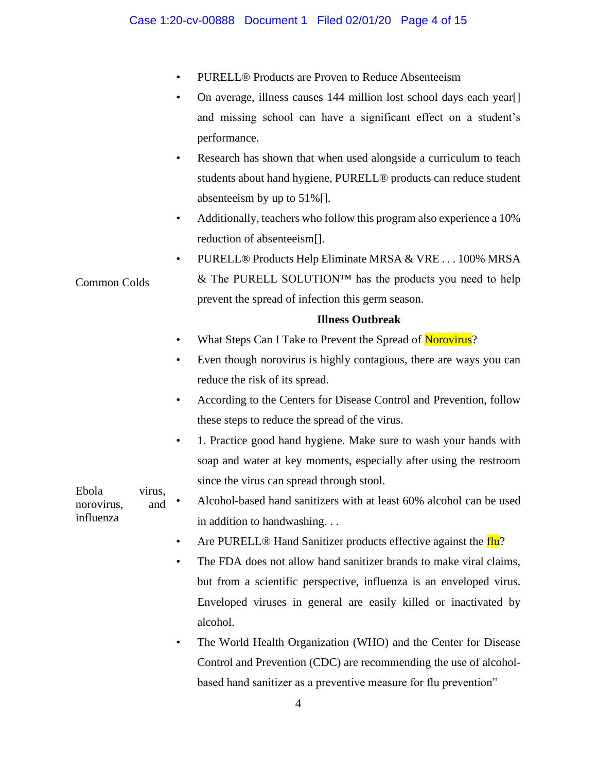- PURELL® Products are Proven to Reduce Absenteeism
- On average, illness causes 144 million lost school days each year[] and missing school can have a significant effect on a student's performance.
- Research has shown that when used alongside a curriculum to teach students about hand hygiene, PURELL® products can reduce student absenteeism by up to 51%[].
- Additionally, teachers who follow this program also experience a 10% reduction of absenteeism[].
- PURELL® Products Help Eliminate MRSA & VRE . . . 100% MRSA & The PURELL SOLUTION<sup>™</sup> has the products you need to help prevent the spread of infection this germ season.

## **Illness Outbreak**

What Steps Can I Take to Prevent the Spread of Norovirus?

Common Colds

influenza

- Even though norovirus is highly contagious, there are ways you can reduce the risk of its spread.
- According to the Centers for Disease Control and Prevention, follow these steps to reduce the spread of the virus.
- 1. Practice good hand hygiene. Make sure to wash your hands with soap and water at key moments, especially after using the restroom since the virus can spread through stool.
- Ebola virus, norovirus, and • Alcohol-based hand sanitizers with at least 60% alcohol can be used in addition to handwashing. . .
	- Are PURELL® Hand Sanitizer products effective against the flu?
	- The FDA does not allow hand sanitizer brands to make viral claims, but from a scientific perspective, influenza is an enveloped virus. Enveloped viruses in general are easily killed or inactivated by alcohol.
	- The World Health Organization (WHO) and the Center for Disease Control and Prevention (CDC) are recommending the use of alcoholbased hand sanitizer as a preventive measure for flu prevention"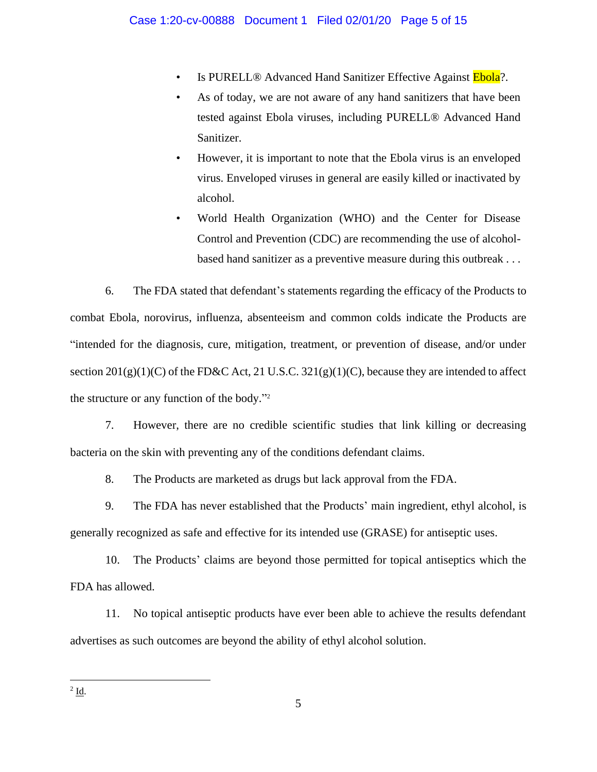- Is PURELL® Advanced Hand Sanitizer Effective Against Ebola?.
- As of today, we are not aware of any hand sanitizers that have been tested against Ebola viruses, including PURELL® Advanced Hand Sanitizer.
- However, it is important to note that the Ebola virus is an enveloped virus. Enveloped viruses in general are easily killed or inactivated by alcohol.
- World Health Organization (WHO) and the Center for Disease Control and Prevention (CDC) are recommending the use of alcoholbased hand sanitizer as a preventive measure during this outbreak . . .

6. The FDA stated that defendant's statements regarding the efficacy of the Products to combat Ebola, norovirus, influenza, absenteeism and common colds indicate the Products are "intended for the diagnosis, cure, mitigation, treatment, or prevention of disease, and/or under section  $201(g)(1)(C)$  of the FD&C Act, 21 U.S.C.  $321(g)(1)(C)$ , because they are intended to affect the structure or any function of the body." 2

7. However, there are no credible scientific studies that link killing or decreasing bacteria on the skin with preventing any of the conditions defendant claims.

8. The Products are marketed as drugs but lack approval from the FDA.

9. The FDA has never established that the Products' main ingredient, ethyl alcohol, is generally recognized as safe and effective for its intended use (GRASE) for antiseptic uses.

10. The Products' claims are beyond those permitted for topical antiseptics which the FDA has allowed.

11. No topical antiseptic products have ever been able to achieve the results defendant advertises as such outcomes are beyond the ability of ethyl alcohol solution.

 $2 \underline{\mathbf{Id}}$ .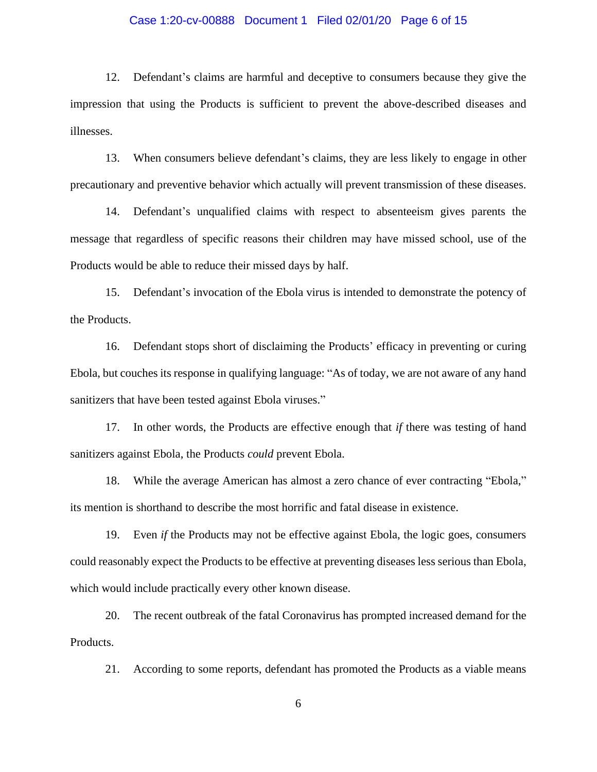#### Case 1:20-cv-00888 Document 1 Filed 02/01/20 Page 6 of 15

12. Defendant's claims are harmful and deceptive to consumers because they give the impression that using the Products is sufficient to prevent the above-described diseases and illnesses.

13. When consumers believe defendant's claims, they are less likely to engage in other precautionary and preventive behavior which actually will prevent transmission of these diseases.

14. Defendant's unqualified claims with respect to absenteeism gives parents the message that regardless of specific reasons their children may have missed school, use of the Products would be able to reduce their missed days by half.

15. Defendant's invocation of the Ebola virus is intended to demonstrate the potency of the Products.

16. Defendant stops short of disclaiming the Products' efficacy in preventing or curing Ebola, but couches its response in qualifying language: "As of today, we are not aware of any hand sanitizers that have been tested against Ebola viruses."

17. In other words, the Products are effective enough that *if* there was testing of hand sanitizers against Ebola, the Products *could* prevent Ebola.

18. While the average American has almost a zero chance of ever contracting "Ebola," its mention is shorthand to describe the most horrific and fatal disease in existence.

19. Even *if* the Products may not be effective against Ebola, the logic goes, consumers could reasonably expect the Products to be effective at preventing diseases less serious than Ebola, which would include practically every other known disease.

20. The recent outbreak of the fatal Coronavirus has prompted increased demand for the Products.

21. According to some reports, defendant has promoted the Products as a viable means

6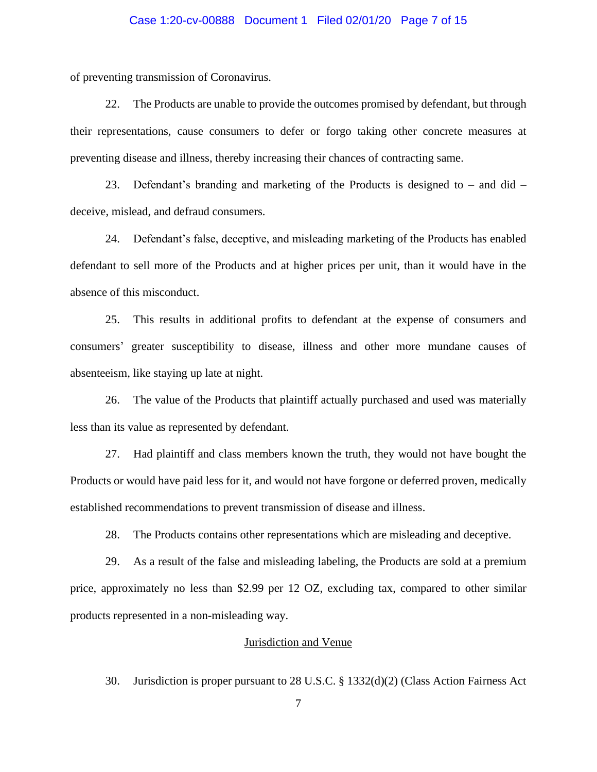#### Case 1:20-cv-00888 Document 1 Filed 02/01/20 Page 7 of 15

of preventing transmission of Coronavirus.

22. The Products are unable to provide the outcomes promised by defendant, but through their representations, cause consumers to defer or forgo taking other concrete measures at preventing disease and illness, thereby increasing their chances of contracting same.

23. Defendant's branding and marketing of the Products is designed to – and did – deceive, mislead, and defraud consumers.

24. Defendant's false, deceptive, and misleading marketing of the Products has enabled defendant to sell more of the Products and at higher prices per unit, than it would have in the absence of this misconduct.

25. This results in additional profits to defendant at the expense of consumers and consumers' greater susceptibility to disease, illness and other more mundane causes of absenteeism, like staying up late at night.

26. The value of the Products that plaintiff actually purchased and used was materially less than its value as represented by defendant.

27. Had plaintiff and class members known the truth, they would not have bought the Products or would have paid less for it, and would not have forgone or deferred proven, medically established recommendations to prevent transmission of disease and illness.

28. The Products contains other representations which are misleading and deceptive.

29. As a result of the false and misleading labeling, the Products are sold at a premium price, approximately no less than \$2.99 per 12 OZ, excluding tax, compared to other similar products represented in a non-misleading way.

### Jurisdiction and Venue

30. Jurisdiction is proper pursuant to 28 U.S.C. § 1332(d)(2) (Class Action Fairness Act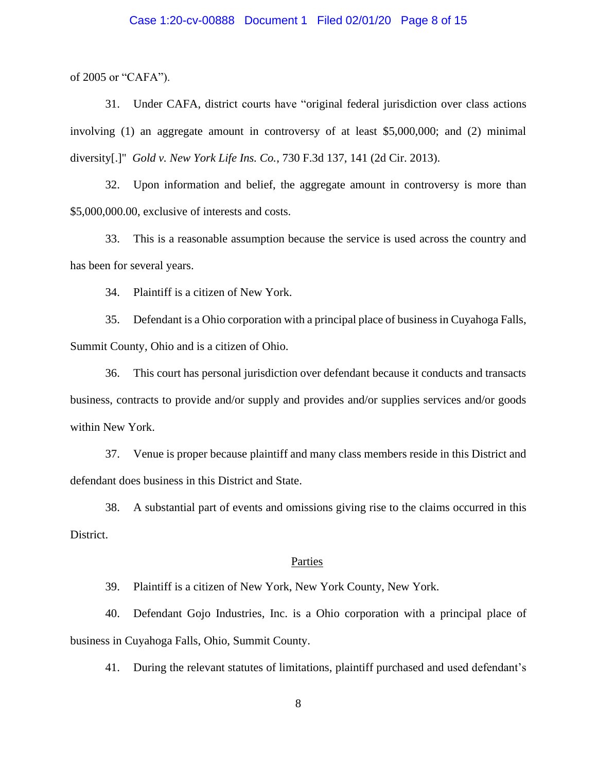#### Case 1:20-cv-00888 Document 1 Filed 02/01/20 Page 8 of 15

of 2005 or "CAFA").

31. Under CAFA, district courts have "original federal jurisdiction over class actions involving (1) an aggregate amount in controversy of at least \$5,000,000; and (2) minimal diversity[.]" *Gold v. New York Life Ins. Co.*, 730 F.3d 137, 141 (2d Cir. 2013).

32. Upon information and belief, the aggregate amount in controversy is more than \$5,000,000.00, exclusive of interests and costs.

33. This is a reasonable assumption because the service is used across the country and has been for several years.

34. Plaintiff is a citizen of New York.

35. Defendant is a Ohio corporation with a principal place of business in Cuyahoga Falls, Summit County, Ohio and is a citizen of Ohio.

36. This court has personal jurisdiction over defendant because it conducts and transacts business, contracts to provide and/or supply and provides and/or supplies services and/or goods within New York.

37. Venue is proper because plaintiff and many class members reside in this District and defendant does business in this District and State.

38. A substantial part of events and omissions giving rise to the claims occurred in this District.

#### Parties

39. Plaintiff is a citizen of New York, New York County, New York.

40. Defendant Gojo Industries, Inc. is a Ohio corporation with a principal place of business in Cuyahoga Falls, Ohio, Summit County.

41. During the relevant statutes of limitations, plaintiff purchased and used defendant's

8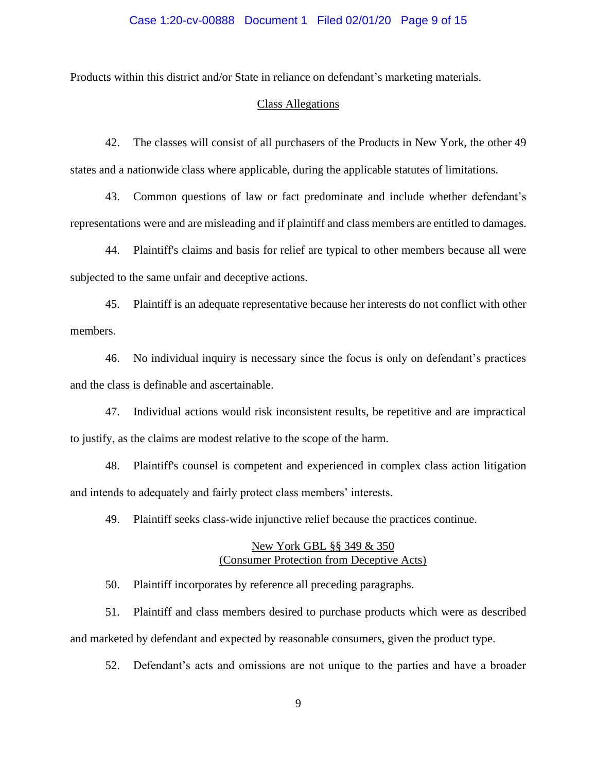Products within this district and/or State in reliance on defendant's marketing materials.

#### Class Allegations

42. The classes will consist of all purchasers of the Products in New York, the other 49 states and a nationwide class where applicable, during the applicable statutes of limitations.

43. Common questions of law or fact predominate and include whether defendant's representations were and are misleading and if plaintiff and class members are entitled to damages.

44. Plaintiff's claims and basis for relief are typical to other members because all were subjected to the same unfair and deceptive actions.

45. Plaintiff is an adequate representative because her interests do not conflict with other members.

46. No individual inquiry is necessary since the focus is only on defendant's practices and the class is definable and ascertainable.

47. Individual actions would risk inconsistent results, be repetitive and are impractical to justify, as the claims are modest relative to the scope of the harm.

48. Plaintiff's counsel is competent and experienced in complex class action litigation and intends to adequately and fairly protect class members' interests.

49. Plaintiff seeks class-wide injunctive relief because the practices continue.

### New York GBL §§ 349 & 350 (Consumer Protection from Deceptive Acts)

50. Plaintiff incorporates by reference all preceding paragraphs.

51. Plaintiff and class members desired to purchase products which were as described and marketed by defendant and expected by reasonable consumers, given the product type.

52. Defendant's acts and omissions are not unique to the parties and have a broader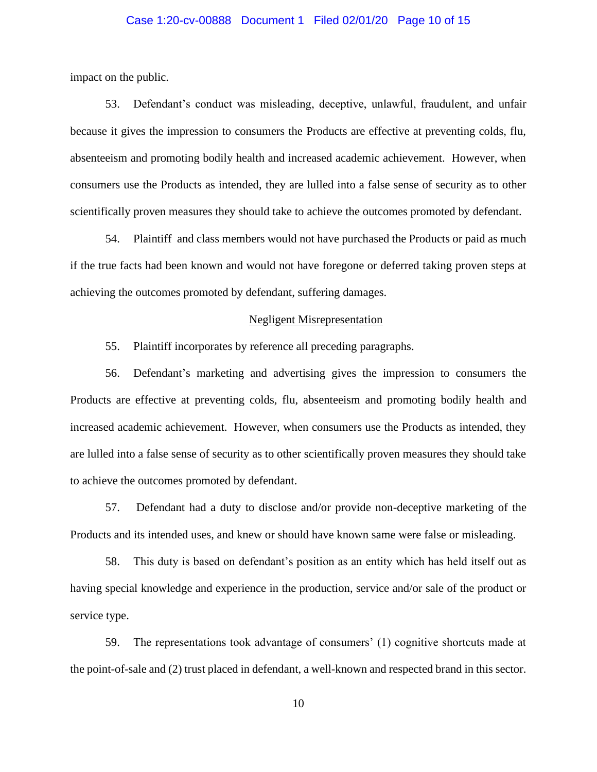#### Case 1:20-cv-00888 Document 1 Filed 02/01/20 Page 10 of 15

impact on the public.

53. Defendant's conduct was misleading, deceptive, unlawful, fraudulent, and unfair because it gives the impression to consumers the Products are effective at preventing colds, flu, absenteeism and promoting bodily health and increased academic achievement. However, when consumers use the Products as intended, they are lulled into a false sense of security as to other scientifically proven measures they should take to achieve the outcomes promoted by defendant.

54. Plaintiff and class members would not have purchased the Products or paid as much if the true facts had been known and would not have foregone or deferred taking proven steps at achieving the outcomes promoted by defendant, suffering damages.

### Negligent Misrepresentation

55. Plaintiff incorporates by reference all preceding paragraphs.

56. Defendant's marketing and advertising gives the impression to consumers the Products are effective at preventing colds, flu, absenteeism and promoting bodily health and increased academic achievement. However, when consumers use the Products as intended, they are lulled into a false sense of security as to other scientifically proven measures they should take to achieve the outcomes promoted by defendant.

57. Defendant had a duty to disclose and/or provide non-deceptive marketing of the Products and its intended uses, and knew or should have known same were false or misleading.

58. This duty is based on defendant's position as an entity which has held itself out as having special knowledge and experience in the production, service and/or sale of the product or service type.

59. The representations took advantage of consumers' (1) cognitive shortcuts made at the point-of-sale and (2) trust placed in defendant, a well-known and respected brand in this sector.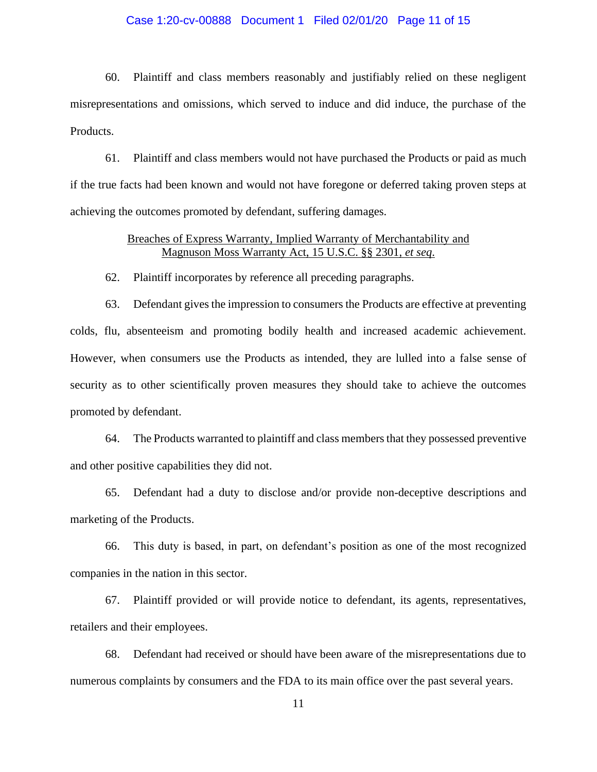#### Case 1:20-cv-00888 Document 1 Filed 02/01/20 Page 11 of 15

60. Plaintiff and class members reasonably and justifiably relied on these negligent misrepresentations and omissions, which served to induce and did induce, the purchase of the Products.

61. Plaintiff and class members would not have purchased the Products or paid as much if the true facts had been known and would not have foregone or deferred taking proven steps at achieving the outcomes promoted by defendant, suffering damages.

### Breaches of Express Warranty, Implied Warranty of Merchantability and Magnuson Moss Warranty Act, 15 U.S.C. §§ 2301, *et seq*.

62. Plaintiff incorporates by reference all preceding paragraphs.

63. Defendant gives the impression to consumers the Products are effective at preventing colds, flu, absenteeism and promoting bodily health and increased academic achievement. However, when consumers use the Products as intended, they are lulled into a false sense of security as to other scientifically proven measures they should take to achieve the outcomes promoted by defendant.

64. The Products warranted to plaintiff and class members that they possessed preventive and other positive capabilities they did not.

65. Defendant had a duty to disclose and/or provide non-deceptive descriptions and marketing of the Products.

66. This duty is based, in part, on defendant's position as one of the most recognized companies in the nation in this sector.

67. Plaintiff provided or will provide notice to defendant, its agents, representatives, retailers and their employees.

68. Defendant had received or should have been aware of the misrepresentations due to numerous complaints by consumers and the FDA to its main office over the past several years.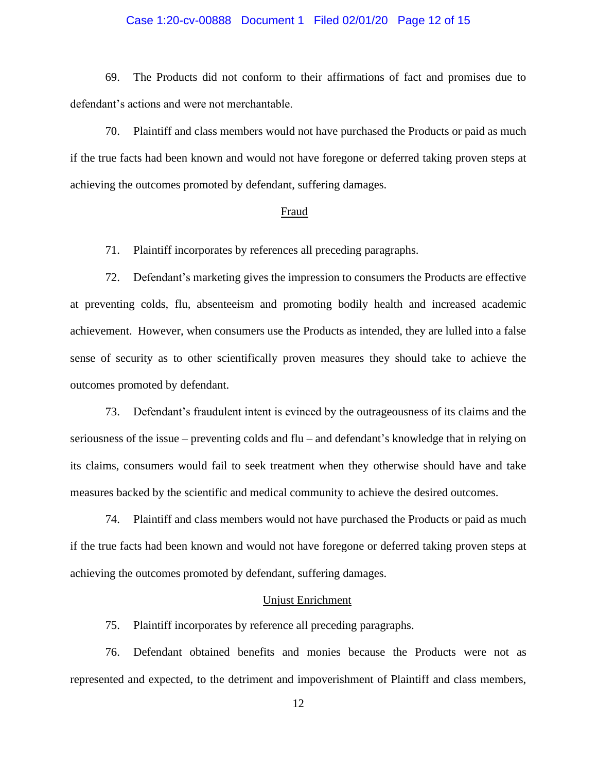#### Case 1:20-cv-00888 Document 1 Filed 02/01/20 Page 12 of 15

69. The Products did not conform to their affirmations of fact and promises due to defendant's actions and were not merchantable.

70. Plaintiff and class members would not have purchased the Products or paid as much if the true facts had been known and would not have foregone or deferred taking proven steps at achieving the outcomes promoted by defendant, suffering damages.

#### Fraud

71. Plaintiff incorporates by references all preceding paragraphs.

72. Defendant's marketing gives the impression to consumers the Products are effective at preventing colds, flu, absenteeism and promoting bodily health and increased academic achievement. However, when consumers use the Products as intended, they are lulled into a false sense of security as to other scientifically proven measures they should take to achieve the outcomes promoted by defendant.

73. Defendant's fraudulent intent is evinced by the outrageousness of its claims and the seriousness of the issue – preventing colds and flu – and defendant's knowledge that in relying on its claims, consumers would fail to seek treatment when they otherwise should have and take measures backed by the scientific and medical community to achieve the desired outcomes.

74. Plaintiff and class members would not have purchased the Products or paid as much if the true facts had been known and would not have foregone or deferred taking proven steps at achieving the outcomes promoted by defendant, suffering damages.

#### Unjust Enrichment

75. Plaintiff incorporates by reference all preceding paragraphs.

76. Defendant obtained benefits and monies because the Products were not as represented and expected, to the detriment and impoverishment of Plaintiff and class members,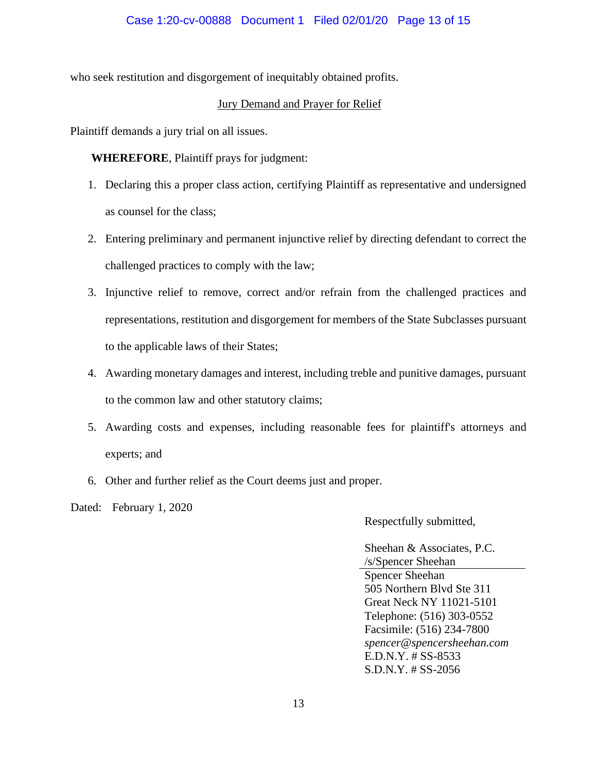who seek restitution and disgorgement of inequitably obtained profits.

# Jury Demand and Prayer for Relief

Plaintiff demands a jury trial on all issues.

**WHEREFORE**, Plaintiff prays for judgment:

- 1. Declaring this a proper class action, certifying Plaintiff as representative and undersigned as counsel for the class;
- 2. Entering preliminary and permanent injunctive relief by directing defendant to correct the challenged practices to comply with the law;
- 3. Injunctive relief to remove, correct and/or refrain from the challenged practices and representations, restitution and disgorgement for members of the State Subclasses pursuant to the applicable laws of their States;
- 4. Awarding monetary damages and interest, including treble and punitive damages, pursuant to the common law and other statutory claims;
- 5. Awarding costs and expenses, including reasonable fees for plaintiff's attorneys and experts; and
- 6. Other and further relief as the Court deems just and proper.

Dated: February 1, 2020

Respectfully submitted,

Sheehan & Associates, P.C. /s/Spencer Sheehan Spencer Sheehan 505 Northern Blvd Ste 311 Great Neck NY 11021-5101 Telephone: (516) 303-0552 Facsimile: (516) 234-7800 *spencer@spencersheehan.com* E.D.N.Y. # SS-8533 S.D.N.Y. # SS-2056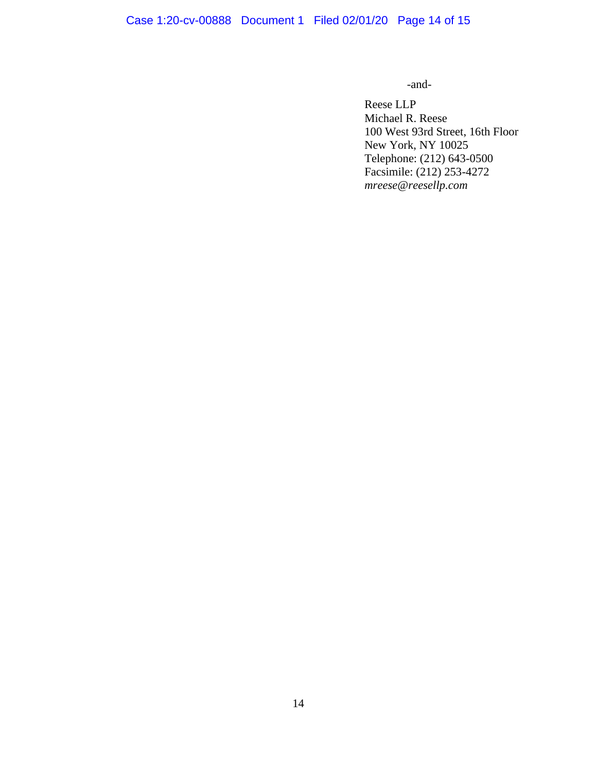# Case 1:20-cv-00888 Document 1 Filed 02/01/20 Page 14 of 15

-and-

Reese LLP Michael R. Reese 100 West 93rd Street, 16th Floor New York, NY 10025 Telephone: (212) 643-0500 Facsimile: (212) 253-4272 *mreese@reesellp.com*